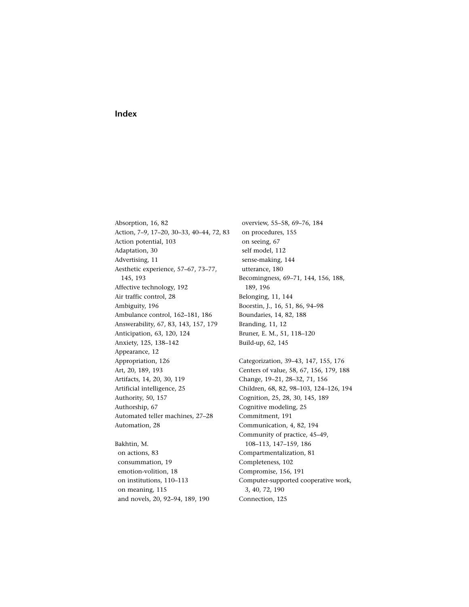## **Index**

Absorption, 16, 82 [Action, 7–9, 17–20, 30–33, 40–44, 72, 83](#page--1-0) Action potential, 103 Adaptation, 30 Advertising, 11 Aesthetic experience, 57–67, 73–77, 145, 193 Affective technology, 192 Air traffic control, 28 Ambiguity, 196 Ambulance control, 162–181, 186 Answerability, 67, 83, 143, 157, 179 Anticipation, 63, 120, 124 Anxiety, 125, 138–142 Appearance, 12 Appropriation, 126 Art, 20, 189, 193 Artifacts, 14, 20, 30, 119 Artificial intelligence, 25 Authority, 50, 157 Authorship, 67 Automated teller machines, 27–28 Automation, 28

Bakhtin, M. on actions, 83 consummation, 19 emotion-volition, 18 on institutions, 110–113 on meaning, 115 and novels, 20, 92–94, 189, 190

overview, 55–58, 69–76, 184 on procedures, 155 on seeing, 67 self model, 112 sense-making, 144 utterance, 180 Becomingness, 69–71, 144, 156, 188, 189, 196 Belonging, 11, 144 Boorstin, J., 16, 51, 86, 94–98 Boundaries, 14, 82, 188 Branding, 11, 12 Bruner, E. M., 51, 118–120 Build-up, 62, 145

Categorization, 39–43, 147, 155, 176 Centers of value, 58, 67, 156, 179, 188 Change, 19–21, 28–32, 71, 156 Children, 68, 82, 98–103, 124–126, 194 Cognition, 25, 28, 30, 145, 189 Cognitive modeling, 25 Commitment, 191 Communication, 4, 82, 194 Community of practice, 45–49, 108–113, 147–159, 186 Compartmentalization, 81 Completeness, 102 Compromise, 156, 191 Computer-supported cooperative work, 3, 40, 72, 190 Connection, 125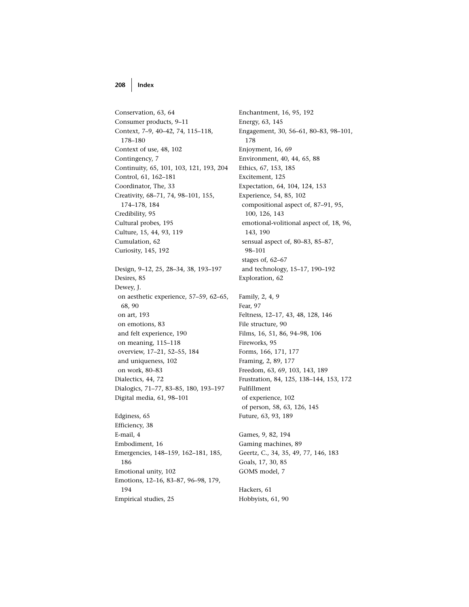## **208 Index**

Conservation, 63, 64 Consumer products, 9–11 Context, 7–9, 40–42, 74, 115–118, 178–180 Context of use, 48, 102 Contingency, 7 Continuity, 65, 101, 103, 121, 193, 204 Control, 61, 162–181 Coordinator, The, 33 Creativity, 68–71, 74, 98–101, 155, 174–178, 184 Credibility, 95 Cultural probes, 195 Culture, 15, 44, 93, 119 Cumulation, 62 Curiosity, 145, 192 Design, 9–12, 25, 28–34, 38, 193–197 Desires, 85 Dewey, J. on aesthetic experience, 57–59, 62–65, 68, 90 on art, 193 on emotions, 83 and felt experience, 190 on meaning, 115–118 overview, 17–21, 52–55, 184 and uniqueness, 102 on work, 80–83 Dialectics, 44, 72 Dialogics, 71–77, 83–85, 180, 193–197 Digital media, 61, 98–101 Edginess, 65 Efficiency, 38 E-mail, 4 Embodiment, 16 Emergencies, 148–159, 162–181, 185, 186 Emotional unity, 102 Emotions, 12–16, 83–87, 96–98, 179, 194

Empirical studies, 25

Enchantment, 16, 95, 192 Energy, 63, 145 Engagement, 30, 56–61, 80–83, 98–101, 178 Enjoyment, 16, 69 Environment, 40, 44, 65, 88 Ethics, 67, 153, 185 Excitement, 125 Expectation, 64, 104, 124, 153 Experience, 54, 85, 102 compositional aspect of, 87–91, 95, 100, 126, 143 emotional-volitional aspect of, 18, 96, 143, 190 sensual aspect of, 80–83, 85–87, 98–101 stages of, 62–67 and technology, 15–17, 190–192 Exploration, 62 Family, 2, 4, 9 Fear, 97 Feltness, 12–17, 43, 48, 128, 146 File structure, 90 Films, 16, 51, 86, 94–98, 106 Fireworks, 95 Forms, 166, 171, 177

Framing, 2, 89, 177 Freedom, 63, 69, 103, 143, 189 Frustration, 84, 125, 138–144, 153, 172 Fulfillment of experience, 102 of person, 58, 63, 126, 145 Future, 63, 93, 189

Games, 9, 82, 194 Gaming machines, 89 Geertz, C., 34, 35, 49, 77, 146, 183 Goals, 17, 30, 85 GOMS model, 7

Hackers, 61 Hobbyists, 61, 90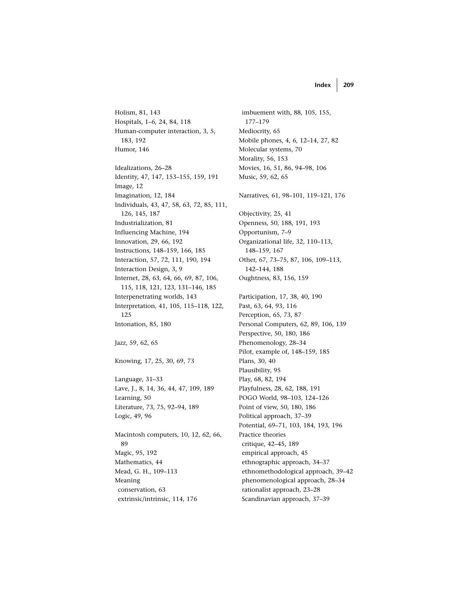**Index 209**

Holism, 81, 143 Hospitals, 1–6, 24, 84, 118 Human-computer interaction, 3, 5, 183, 192 Humor, 146 Idealizations, 26–28 Identity, 47, 147, 153–155, 159, 191 Image, 12 Imagination, 12, 184 Individuals, 43, 47, 58, 63, 72, 85, 111, 126, 145, 187 Industrialization, 81 Influencing Machine, 194 Innovation, 29, 66, 192 Instructions, 148–159, 166, 185 Interaction, 57, 72, 111, 190, 194 Interaction Design, 3, 9 Internet, 28, 63, 64, 66, 69, 87, 106, 115, 118, 121, 123, 131–146, 185 Interpenetrating worlds, 143 Interpretation, 41, 105, 115–118, 122, 125 Intonation, 85, 180 Jazz, 59, 62, 65 Knowing, 17, 25, 30, 69, 73 Language, 31–33 Lave, J., 8, 14, 36, 44, 47, 109, 189 Learning, 50 Literature, 73, 75, 92–94, 189 Logic, 49, 96 Macintosh computers, 10, 12, 62, 66, 89 Magic, 95, 192 Mathematics, 44 Mead, G. H., 109–113 Meaning conservation, 63 extrinsic/intrinsic, 114, 176

imbuement with, 88, 105, 155, 177–179 Mediocrity, 65 Mobile phones, 4, 6, 12–14, 27, 82 Molecular systems, 70 Morality, 56, 153 Movies, 16, 51, 86, 94–98, 106 Music, 59, 62, 65 Narratives, 61, 98–101, 119–121, 176 Objectivity, 25, 41 Openness, 50, 188, 191, 193 Opportunism, 7–9 Organizational life, 32, 110–113, 148–159, 167 Other, 67, 73–75, 87, 106, 109–113, 142–144, 188 Oughtness, 83, 156, 159 Participation, 17, 38, 40, 190 Past, 63, 64, 93, 116 Perception, 65, 73, 87 Personal Computers, 62, 89, 106, 139 Perspective, 50, 180, 186 Phenomenology, 28–34 Pilot, example of, 148–159, 185 Plans, 30, 40 Plausibility, 95 Play, 68, 82, 194 Playfulness, 28, 62, 188, 191 POGO World, 98–103, 124–126 Point of view, 50, 180, 186 Political approach, 37–39 Potential, 69–71, 103, 184, 193, 196 Practice theories critique, 42–45, 189 empirical approach, 45 ethnographic approach, 34–37 ethnomethodological approach, 39–42 phenomenological approach, 28–34 rationalist approach, 23–28 Scandinavian approach, 37–39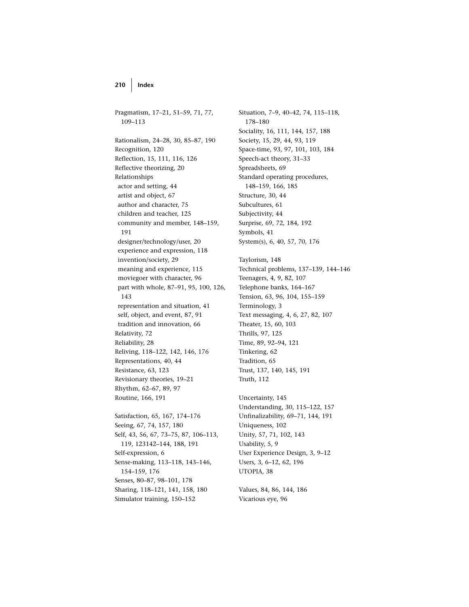Pragmatism, 17–21, 51–59, 71, 77, 109–113 Rationalism, 24–28, 30, 85–87, 190 Recognition, 120 Reflection, 15, 111, 116, 126 Reflective theorizing, 20 Relationships actor and setting, 44 artist and object, 67 author and character, 75 children and teacher, 125 community and member, 148–159, 191 designer/technology/user, 20 experience and expression, 118 invention/society, 29 meaning and experience, 115 moviegoer with character, 96 part with whole, 87–91, 95, 100, 126, 143 representation and situation, 41 self, object, and event, 87, 91 tradition and innovation, 66 Relativity, 72 Reliability, 28 Reliving, 118–122, 142, 146, 176 Representations, 40, 44 Resistance, 63, 123 Revisionary theories, 19–21 Rhythm, 62–67, 89, 97 Routine, 166, 191 Satisfaction, 65, 167, 174–176 Seeing, 67, 74, 157, 180 Self, 43, 56, 67, 73–75, 87, 106–113, 119, 123142–144, 188, 191 Self-expression, 6 Sense-making, 113–118, 143–146, 154–159, 176 Senses, 80–87, 98–101, 178

Sharing, 118–121, 141, 158, 180 Simulator training, 150–152

Situation, 7–9, 40–42, 74, 115–118, 178–180 Sociality, 16, 111, 144, 157, 188 Society, 15, 29, 44, 93, 119 Space-time, 93, 97, 101, 103, 184 Speech-act theory, 31–33 Spreadsheets, 69 Standard operating procedures, 148–159, 166, 185 Structure, 30, 44 Subcultures, 61 Subjectivity, 44 Surprise, 69, 72, 184, 192 Symbols, 41 System(s), 6, 40, 57, 70, 176 Taylorism, 148 Technical problems, 137–139, 144–146 Teenagers, 4, 9, 82, 107 Telephone banks, 164–167 Tension, 63, 96, 104, 155–159 Terminology, 3 Text messaging, 4, 6, 27, 82, 107 Theater, 15, 60, 103 Thrills, 97, 125 Time, 89, 92–94, 121 Tinkering, 62 Tradition, 65 Trust, 137, 140, 145, 191 Truth, 112 Uncertainty, 145

Understanding, 30, 115–122, 157 Unfinalizability, 69–71, 144, 191 Uniqueness, 102 Unity, 57, 71, 102, 143 Usability, 5, 9 User Experience Design, 3, 9–12 Users, 3, 6–12, 62, 196 UTOPIA, 38

Values, 84, 86, 144, 186 Vicarious eye, 96